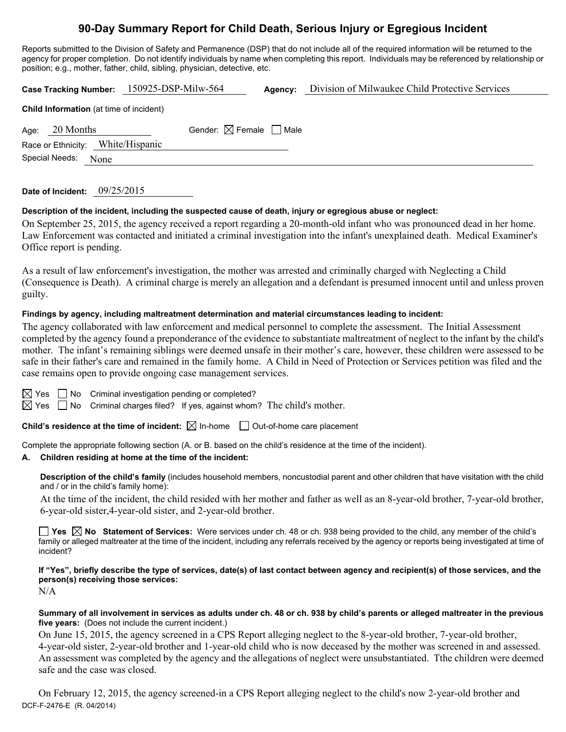## **90-Day Summary Report for Child Death, Serious Injury or Egregious Incident**

Reports submitted to the Division of Safety and Permanence (DSP) that do not include all of the required information will be returned to the agency for proper completion. Do not identify individuals by name when completing this report. Individuals may be referenced by relationship or position; e.g., mother, father, child, sibling, physician, detective, etc.

|                                         | Case Tracking Number: 150925-DSP-Milw-564 | Agency: | Division of Milwaukee Child Protective Services |  |  |
|-----------------------------------------|-------------------------------------------|---------|-------------------------------------------------|--|--|
| Child Information (at time of incident) |                                           |         |                                                 |  |  |
| 20 Months<br>Age:                       | Gender: $\boxtimes$ Female $\Box$ Male    |         |                                                 |  |  |
| Race or Ethnicity:                      | White/Hispanic                            |         |                                                 |  |  |
| Special Needs:<br>None                  |                                           |         |                                                 |  |  |
|                                         |                                           |         |                                                 |  |  |

| Date of Incident: | 09/25/2015 |
|-------------------|------------|
|-------------------|------------|

### **Description of the incident, including the suspected cause of death, injury or egregious abuse or neglect:**

On September 25, 2015, the agency received a report regarding a 20-month-old infant who was pronounced dead in her home. Law Enforcement was contacted and initiated a criminal investigation into the infant's unexplained death. Medical Examiner's Office report is pending.

As a result of law enforcement's investigation, the mother was arrested and criminally charged with Neglecting a Child (Consequence is Death). A criminal charge is merely an allegation and a defendant is presumed innocent until and unless proven guilty.

### **Findings by agency, including maltreatment determination and material circumstances leading to incident:**

The agency collaborated with law enforcement and medical personnel to complete the assessment. The Initial Assessment completed by the agency found a preponderance of the evidence to substantiate maltreatment of neglect to the infant by the child's mother. The infant's remaining siblings were deemed unsafe in their mother's care, however, these children were assessed to be safe in their father's care and remained in the family home. A Child in Need of Protection or Services petition was filed and the case remains open to provide ongoing case management services.

 $\Box$  No Criminal investigation pending or completed?

 $\boxtimes$  Yes  $\Box$  No Criminal charges filed? If yes, against whom? The child's mother.

**Child's residence at the time of incident:**  $\boxtimes$  In-home  $\Box$  Out-of-home care placement

Complete the appropriate following section (A. or B. based on the child's residence at the time of the incident).

### **A. Children residing at home at the time of the incident:**

**Description of the child's family** (includes household members, noncustodial parent and other children that have visitation with the child and / or in the child's family home):

 At the time of the incident, the child resided with her mother and father as well as an 8-year-old brother, 7-year-old brother, 6-year-old sister,4-year-old sister, and 2-year-old brother.

**Yes No Statement of Services:** Were services under ch. 48 or ch. 938 being provided to the child, any member of the child's family or alleged maltreater at the time of the incident, including any referrals received by the agency or reports being investigated at time of incident?

**If "Yes", briefly describe the type of services, date(s) of last contact between agency and recipient(s) of those services, and the person(s) receiving those services:** 

N/A

### **Summary of all involvement in services as adults under ch. 48 or ch. 938 by child's parents or alleged maltreater in the previous five years:** (Does not include the current incident.)

On June 15, 2015, the agency screened in a CPS Report alleging neglect to the 8-year-old brother, 7-year-old brother, 4-year-old sister, 2-year-old brother and 1-year-old child who is now deceased by the mother was screened in and assessed. An assessment was completed by the agency and the allegations of neglect were unsubstantiated. Tthe children were deemed safe and the case was closed.

DCF-F-2476-E (R. 04/2014) On February 12, 2015, the agency screened-in a CPS Report alleging neglect to the child's now 2-year-old brother and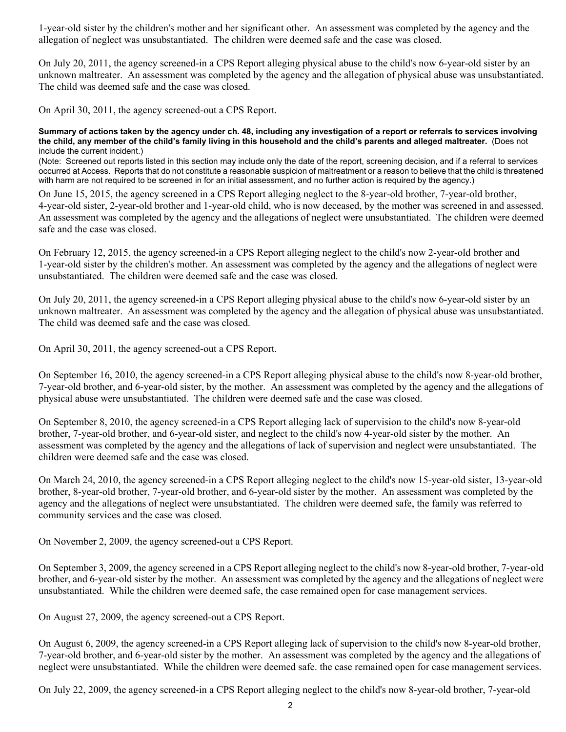1-year-old sister by the children's mother and her significant other. An assessment was completed by the agency and the allegation of neglect was unsubstantiated. The children were deemed safe and the case was closed.

On July 20, 2011, the agency screened-in a CPS Report alleging physical abuse to the child's now 6-year-old sister by an unknown maltreater. An assessment was completed by the agency and the allegation of physical abuse was unsubstantiated. The child was deemed safe and the case was closed.

On April 30, 2011, the agency screened-out a CPS Report.

**Summary of actions taken by the agency under ch. 48, including any investigation of a report or referrals to services involving the child, any member of the child's family living in this household and the child's parents and alleged maltreater.** (Does not include the current incident.)

(Note: Screened out reports listed in this section may include only the date of the report, screening decision, and if a referral to services occurred at Access. Reports that do not constitute a reasonable suspicion of maltreatment or a reason to believe that the child is threatened with harm are not required to be screened in for an initial assessment, and no further action is required by the agency.)

On June 15, 2015, the agency screened in a CPS Report alleging neglect to the 8-year-old brother, 7-year-old brother, 4-year-old sister, 2-year-old brother and 1-year-old child, who is now deceased, by the mother was screened in and assessed. An assessment was completed by the agency and the allegations of neglect were unsubstantiated. The children were deemed safe and the case was closed.

On February 12, 2015, the agency screened-in a CPS Report alleging neglect to the child's now 2-year-old brother and 1-year-old sister by the children's mother. An assessment was completed by the agency and the allegations of neglect were unsubstantiated. The children were deemed safe and the case was closed.

On July 20, 2011, the agency screened-in a CPS Report alleging physical abuse to the child's now 6-year-old sister by an unknown maltreater. An assessment was completed by the agency and the allegation of physical abuse was unsubstantiated. The child was deemed safe and the case was closed.

On April 30, 2011, the agency screened-out a CPS Report.

On September 16, 2010, the agency screened-in a CPS Report alleging physical abuse to the child's now 8-year-old brother, 7-year-old brother, and 6-year-old sister, by the mother. An assessment was completed by the agency and the allegations of physical abuse were unsubstantiated. The children were deemed safe and the case was closed.

On September 8, 2010, the agency screened-in a CPS Report alleging lack of supervision to the child's now 8-year-old brother, 7-year-old brother, and 6-year-old sister, and neglect to the child's now 4-year-old sister by the mother. An assessment was completed by the agency and the allegations of lack of supervision and neglect were unsubstantiated. The children were deemed safe and the case was closed.

On March 24, 2010, the agency screened-in a CPS Report alleging neglect to the child's now 15-year-old sister, 13-year-old brother, 8-year-old brother, 7-year-old brother, and 6-year-old sister by the mother. An assessment was completed by the agency and the allegations of neglect were unsubstantiated. The children were deemed safe, the family was referred to community services and the case was closed.

On November 2, 2009, the agency screened-out a CPS Report.

On September 3, 2009, the agency screened in a CPS Report alleging neglect to the child's now 8-year-old brother, 7-year-old brother, and 6-year-old sister by the mother. An assessment was completed by the agency and the allegations of neglect were unsubstantiated. While the children were deemed safe, the case remained open for case management services.

On August 27, 2009, the agency screened-out a CPS Report.

On August 6, 2009, the agency screened-in a CPS Report alleging lack of supervision to the child's now 8-year-old brother, 7-year-old brother, and 6-year-old sister by the mother. An assessment was completed by the agency and the allegations of neglect were unsubstantiated. While the children were deemed safe. the case remained open for case management services.

On July 22, 2009, the agency screened-in a CPS Report alleging neglect to the child's now 8-year-old brother, 7-year-old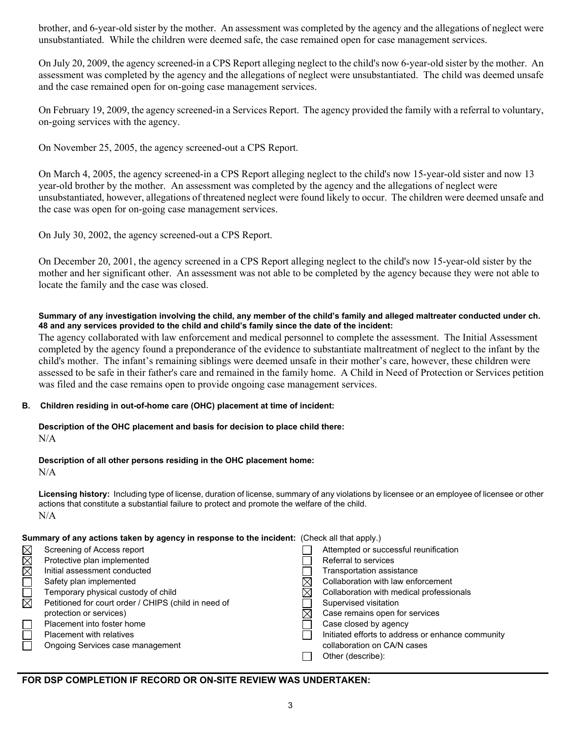brother, and 6-year-old sister by the mother. An assessment was completed by the agency and the allegations of neglect were unsubstantiated. While the children were deemed safe, the case remained open for case management services.

On July 20, 2009, the agency screened-in a CPS Report alleging neglect to the child's now 6-year-old sister by the mother. An assessment was completed by the agency and the allegations of neglect were unsubstantiated. The child was deemed unsafe and the case remained open for on-going case management services.

On February 19, 2009, the agency screened-in a Services Report. The agency provided the family with a referral to voluntary, on-going services with the agency.

On November 25, 2005, the agency screened-out a CPS Report.

On March 4, 2005, the agency screened-in a CPS Report alleging neglect to the child's now 15-year-old sister and now 13 year-old brother by the mother. An assessment was completed by the agency and the allegations of neglect were unsubstantiated, however, allegations of threatened neglect were found likely to occur. The children were deemed unsafe and the case was open for on-going case management services.

On July 30, 2002, the agency screened-out a CPS Report.

On December 20, 2001, the agency screened in a CPS Report alleging neglect to the child's now 15-year-old sister by the mother and her significant other. An assessment was not able to be completed by the agency because they were not able to locate the family and the case was closed.

### **Summary of any investigation involving the child, any member of the child's family and alleged maltreater conducted under ch. 48 and any services provided to the child and child's family since the date of the incident:**

The agency collaborated with law enforcement and medical personnel to complete the assessment. The Initial Assessment completed by the agency found a preponderance of the evidence to substantiate maltreatment of neglect to the infant by the child's mother. The infant's remaining siblings were deemed unsafe in their mother's care, however, these children were assessed to be safe in their father's care and remained in the family home. A Child in Need of Protection or Services petition was filed and the case remains open to provide ongoing case management services.

## **B. Children residing in out-of-home care (OHC) placement at time of incident:**

# **Description of the OHC placement and basis for decision to place child there:**

N/A

## **Description of all other persons residing in the OHC placement home:**

N/A

**Licensing history:** Including type of license, duration of license, summary of any violations by licensee or an employee of licensee or other actions that constitute a substantial failure to protect and promote the welfare of the child. N/A

## **Summary of any actions taken by agency in response to the incident:** (Check all that apply.)

|                        | Screening of Access report                           | Attempted or successful reunification             |
|------------------------|------------------------------------------------------|---------------------------------------------------|
| MMM                    | Protective plan implemented                          | Referral to services                              |
|                        | Initial assessment conducted                         | Transportation assistance                         |
|                        | Safety plan implemented                              | Collaboration with law enforcement                |
| $\Box$                 | Temporary physical custody of child                  | Collaboration with medical professionals          |
| $\overline{\boxtimes}$ | Petitioned for court order / CHIPS (child in need of | Supervised visitation                             |
|                        | protection or services)                              | Case remains open for services                    |
|                        | Placement into foster home                           | Case closed by agency                             |
|                        | <b>Placement with relatives</b>                      | Initiated efforts to address or enhance community |
|                        | Ongoing Services case management                     | collaboration on CA/N cases                       |
|                        |                                                      | Other (describe):                                 |
|                        |                                                      |                                                   |

## **FOR DSP COMPLETION IF RECORD OR ON-SITE REVIEW WAS UNDERTAKEN:**